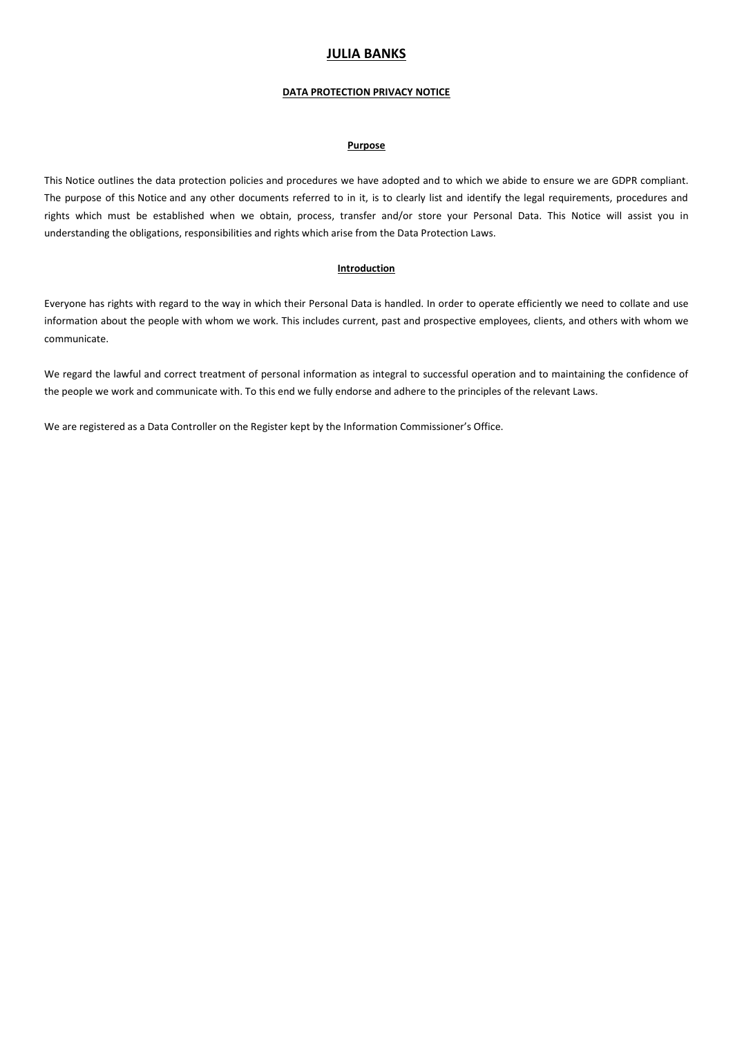# **JULIA BANKS**

### **DATA PROTECTION PRIVACY NOTICE**

## **Purpose**

This Notice outlines the data protection policies and procedures we have adopted and to which we abide to ensure we are GDPR compliant. The purpose of this Notice and any other documents referred to in it, is to clearly list and identify the legal requirements, procedures and rights which must be established when we obtain, process, transfer and/or store your Personal Data. This Notice will assist you in understanding the obligations, responsibilities and rights which arise from the Data Protection Laws.

## **Introduction**

Everyone has rights with regard to the way in which their Personal Data is handled. In order to operate efficiently we need to collate and use information about the people with whom we work. This includes current, past and prospective employees, clients, and others with whom we communicate.

We regard the lawful and correct treatment of personal information as integral to successful operation and to maintaining the confidence of the people we work and communicate with. To this end we fully endorse and adhere to the principles of the relevant Laws.

We are registered as a Data Controller on the Register kept by the Information Commissioner's Office.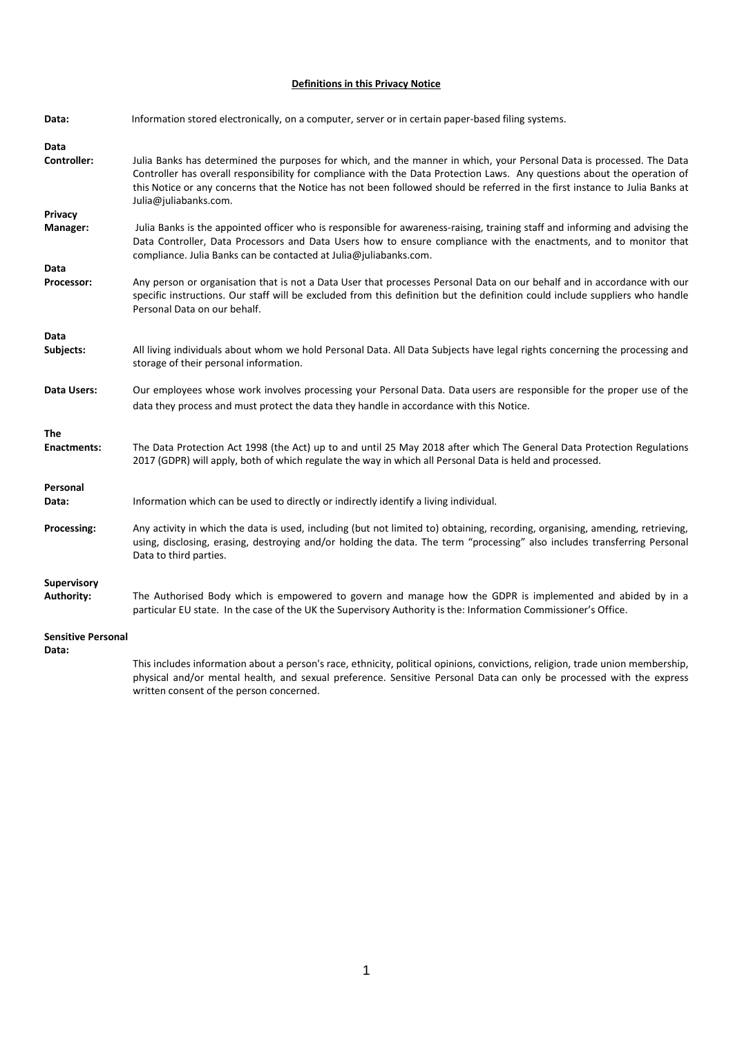# **Definitions in this Privacy Notice**

| Data:                     | Information stored electronically, on a computer, server or in certain paper-based filing systems.                                                                                                                                                                                                                                                                                                         |
|---------------------------|------------------------------------------------------------------------------------------------------------------------------------------------------------------------------------------------------------------------------------------------------------------------------------------------------------------------------------------------------------------------------------------------------------|
| Data                      |                                                                                                                                                                                                                                                                                                                                                                                                            |
| Controller:               | Julia Banks has determined the purposes for which, and the manner in which, your Personal Data is processed. The Data<br>Controller has overall responsibility for compliance with the Data Protection Laws. Any questions about the operation of<br>this Notice or any concerns that the Notice has not been followed should be referred in the first instance to Julia Banks at<br>Julia@juliabanks.com. |
| Privacy                   |                                                                                                                                                                                                                                                                                                                                                                                                            |
| Manager:                  | Julia Banks is the appointed officer who is responsible for awareness-raising, training staff and informing and advising the<br>Data Controller, Data Processors and Data Users how to ensure compliance with the enactments, and to monitor that<br>compliance. Julia Banks can be contacted at Julia@juliabanks.com.                                                                                     |
| Data                      |                                                                                                                                                                                                                                                                                                                                                                                                            |
| Processor:                | Any person or organisation that is not a Data User that processes Personal Data on our behalf and in accordance with our<br>specific instructions. Our staff will be excluded from this definition but the definition could include suppliers who handle<br>Personal Data on our behalf.                                                                                                                   |
| Data                      |                                                                                                                                                                                                                                                                                                                                                                                                            |
| Subjects:                 | All living individuals about whom we hold Personal Data. All Data Subjects have legal rights concerning the processing and<br>storage of their personal information.                                                                                                                                                                                                                                       |
| Data Users:               | Our employees whose work involves processing your Personal Data. Data users are responsible for the proper use of the<br>data they process and must protect the data they handle in accordance with this Notice.                                                                                                                                                                                           |
| The                       |                                                                                                                                                                                                                                                                                                                                                                                                            |
| <b>Enactments:</b>        | The Data Protection Act 1998 (the Act) up to and until 25 May 2018 after which The General Data Protection Regulations<br>2017 (GDPR) will apply, both of which regulate the way in which all Personal Data is held and processed.                                                                                                                                                                         |
| Personal                  |                                                                                                                                                                                                                                                                                                                                                                                                            |
| Data:                     | Information which can be used to directly or indirectly identify a living individual.                                                                                                                                                                                                                                                                                                                      |
| Processing:               | Any activity in which the data is used, including (but not limited to) obtaining, recording, organising, amending, retrieving,<br>using, disclosing, erasing, destroying and/or holding the data. The term "processing" also includes transferring Personal<br>Data to third parties.                                                                                                                      |
| <b>Supervisory</b>        |                                                                                                                                                                                                                                                                                                                                                                                                            |
| <b>Authority:</b>         | The Authorised Body which is empowered to govern and manage how the GDPR is implemented and abided by in a<br>particular EU state. In the case of the UK the Supervisory Authority is the: Information Commissioner's Office.                                                                                                                                                                              |
| <b>Sensitive Personal</b> |                                                                                                                                                                                                                                                                                                                                                                                                            |
| Data:                     | This includes information about a person's race, ethnicity, political opinions, convictions, religion, trade union membership,                                                                                                                                                                                                                                                                             |

physical and/or mental health, and sexual preference. Sensitive Personal Data can only be processed with the express written consent of the person concerned.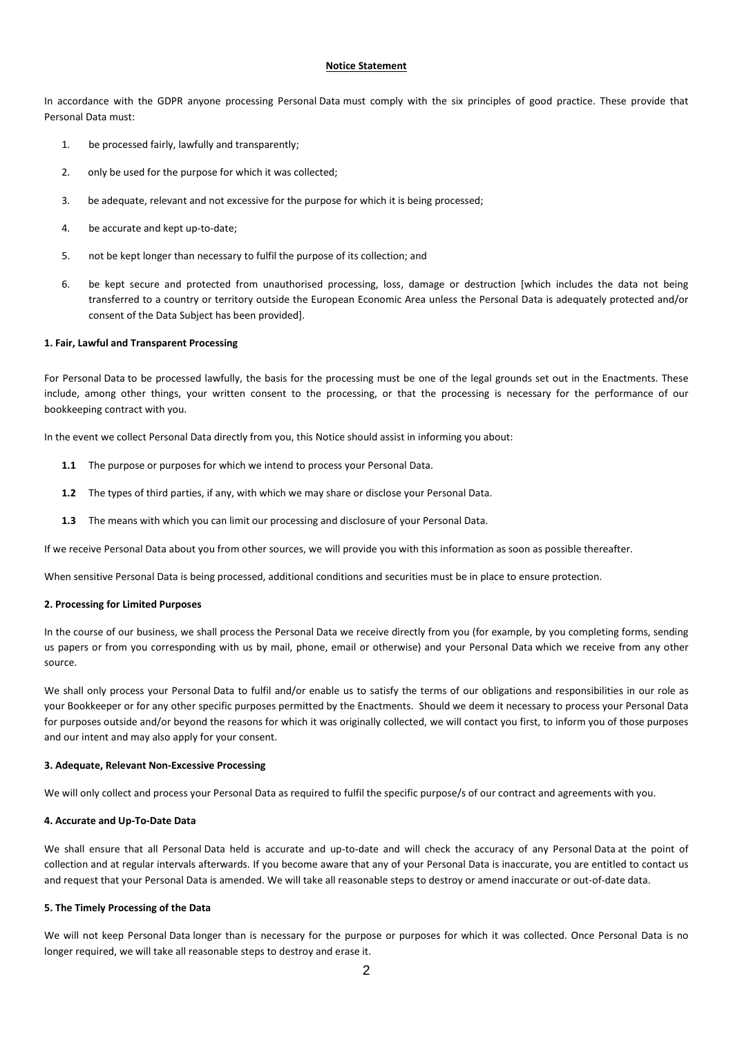#### **Notice Statement**

In accordance with the GDPR anyone processing Personal Data must comply with the six principles of good practice. These provide that Personal Data must:

- 1. be processed fairly, lawfully and transparently;
- 2. only be used for the purpose for which it was collected;
- 3. be adequate, relevant and not excessive for the purpose for which it is being processed;
- 4. be accurate and kept up-to-date;
- 5. not be kept longer than necessary to fulfil the purpose of its collection; and
- 6. be kept secure and protected from unauthorised processing, loss, damage or destruction [which includes the data not being transferred to a country or territory outside the European Economic Area unless the Personal Data is adequately protected and/or consent of the Data Subject has been provided].

## **1. Fair, Lawful and Transparent Processing**

For Personal Data to be processed lawfully, the basis for the processing must be one of the legal grounds set out in the Enactments. These include, among other things, your written consent to the processing, or that the processing is necessary for the performance of our bookkeeping contract with you.

In the event we collect Personal Data directly from you, this Notice should assist in informing you about:

- **1.1** The purpose or purposes for which we intend to process your Personal Data.
- **1.2** The types of third parties, if any, with which we may share or disclose your Personal Data.
- **1.3** The means with which you can limit our processing and disclosure of your Personal Data.

If we receive Personal Data about you from other sources, we will provide you with this information as soon as possible thereafter.

When sensitive Personal Data is being processed, additional conditions and securities must be in place to ensure protection.

#### **2. Processing for Limited Purposes**

In the course of our business, we shall process the Personal Data we receive directly from you (for example, by you completing forms, sending us papers or from you corresponding with us by mail, phone, email or otherwise) and your Personal Data which we receive from any other source.

We shall only process your Personal Data to fulfil and/or enable us to satisfy the terms of our obligations and responsibilities in our role as your Bookkeeper or for any other specific purposes permitted by the Enactments. Should we deem it necessary to process your Personal Data for purposes outside and/or beyond the reasons for which it was originally collected, we will contact you first, to inform you of those purposes and our intent and may also apply for your consent.

#### **3. Adequate, Relevant Non-Excessive Processing**

We will only collect and process your Personal Data as required to fulfil the specific purpose/s of our contract and agreements with you.

### **4. Accurate and Up-To-Date Data**

We shall ensure that all Personal Data held is accurate and up-to-date and will check the accuracy of any Personal Data at the point of collection and at regular intervals afterwards. If you become aware that any of your Personal Data is inaccurate, you are entitled to contact us and request that your Personal Data is amended. We will take all reasonable steps to destroy or amend inaccurate or out-of-date data.

### **5. The Timely Processing of the Data**

We will not keep Personal Data longer than is necessary for the purpose or purposes for which it was collected. Once Personal Data is no longer required, we will take all reasonable steps to destroy and erase it.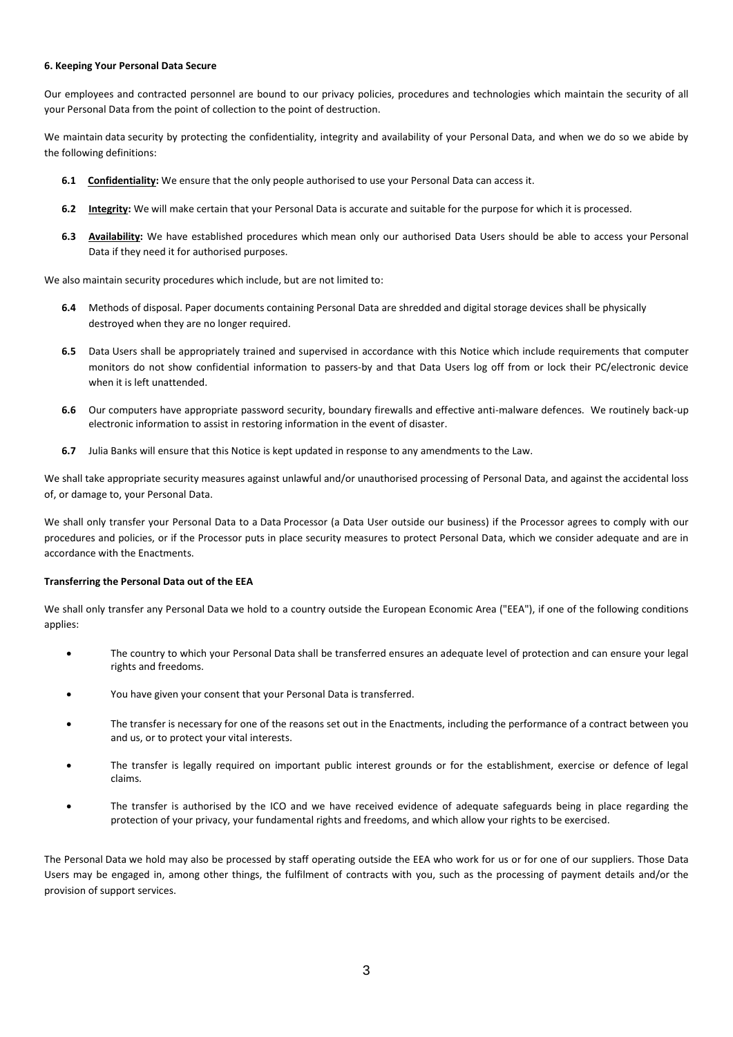#### **6. Keeping Your Personal Data Secure**

Our employees and contracted personnel are bound to our privacy policies, procedures and technologies which maintain the security of all your Personal Data from the point of collection to the point of destruction.

We maintain data security by protecting the confidentiality, integrity and availability of your Personal Data, and when we do so we abide by the following definitions:

- **6.1** Confidentiality: We ensure that the only people authorised to use your Personal Data can access it.
- **6.2 Integrity:** We will make certain that your Personal Data is accurate and suitable for the purpose for which it is processed.
- **6.3 Availability:** We have established procedures which mean only our authorised Data Users should be able to access your Personal Data if they need it for authorised purposes.

We also maintain security procedures which include, but are not limited to:

- **6.4** Methods of disposal. Paper documents containing Personal Data are shredded and digital storage devices shall be physically destroyed when they are no longer required.
- **6.5** Data Users shall be appropriately trained and supervised in accordance with this Notice which include requirements that computer monitors do not show confidential information to passers-by and that Data Users log off from or lock their PC/electronic device when it is left unattended.
- **6.6** Our computers have appropriate password security, boundary firewalls and effective anti-malware defences. We routinely back-up electronic information to assist in restoring information in the event of disaster.
- **6.7** Julia Banks will ensure that this Notice is kept updated in response to any amendments to the Law.

We shall take appropriate security measures against unlawful and/or unauthorised processing of Personal Data, and against the accidental loss of, or damage to, your Personal Data.

We shall only transfer your Personal Data to a Data Processor (a Data User outside our business) if the Processor agrees to comply with our procedures and policies, or if the Processor puts in place security measures to protect Personal Data, which we consider adequate and are in accordance with the Enactments.

#### **Transferring the Personal Data out of the EEA**

We shall only transfer any Personal Data we hold to a country outside the European Economic Area ("EEA"), if one of the following conditions applies:

- The country to which your Personal Data shall be transferred ensures an adequate level of protection and can ensure your legal rights and freedoms.
- You have given your consent that your Personal Data is transferred.
- The transfer is necessary for one of the reasons set out in the Enactments, including the performance of a contract between you and us, or to protect your vital interests.
- The transfer is legally required on important public interest grounds or for the establishment, exercise or defence of legal claims.
- The transfer is authorised by the ICO and we have received evidence of adequate safeguards being in place regarding the protection of your privacy, your fundamental rights and freedoms, and which allow your rights to be exercised.

The Personal Data we hold may also be processed by staff operating outside the EEA who work for us or for one of our suppliers. Those Data Users may be engaged in, among other things, the fulfilment of contracts with you, such as the processing of payment details and/or the provision of support services.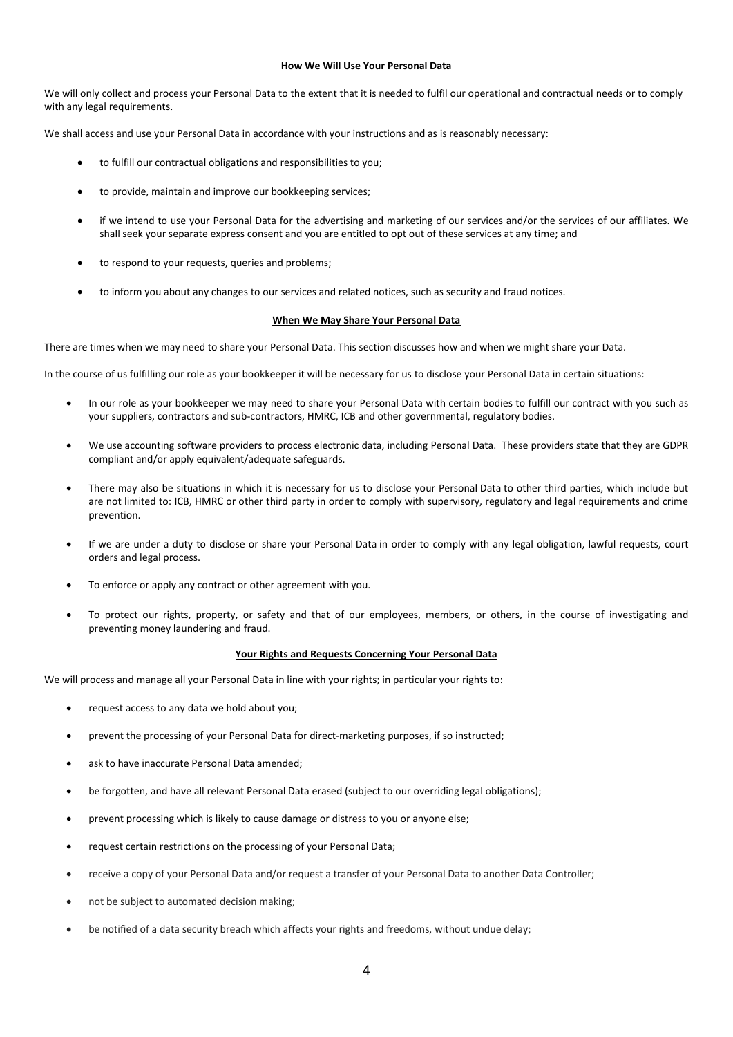### **How We Will Use Your Personal Data**

We will only collect and process your Personal Data to the extent that it is needed to fulfil our operational and contractual needs or to comply with any legal requirements.

We shall access and use your Personal Data in accordance with your instructions and as is reasonably necessary:

- to fulfill our contractual obligations and responsibilities to you;
- to provide, maintain and improve our bookkeeping services;
- if we intend to use your Personal Data for the advertising and marketing of our services and/or the services of our affiliates. We shall seek your separate express consent and you are entitled to opt out of these services at any time; and
- to respond to your requests, queries and problems;
- to inform you about any changes to our services and related notices, such as security and fraud notices.

## **When We May Share Your Personal Data**

There are times when we may need to share your Personal Data. This section discusses how and when we might share your Data.

In the course of us fulfilling our role as your bookkeeper it will be necessary for us to disclose your Personal Data in certain situations:

- In our role as your bookkeeper we may need to share your Personal Data with certain bodies to fulfill our contract with you such as your suppliers, contractors and sub-contractors, HMRC, ICB and other governmental, regulatory bodies.
- We use accounting software providers to process electronic data, including Personal Data. These providers state that they are GDPR compliant and/or apply equivalent/adequate safeguards.
- There may also be situations in which it is necessary for us to disclose your Personal Data to other third parties, which include but are not limited to: ICB, HMRC or other third party in order to comply with supervisory, regulatory and legal requirements and crime prevention.
- If we are under a duty to disclose or share your Personal Data in order to comply with any legal obligation, lawful requests, court orders and legal process.
- To enforce or apply any contract or other agreement with you.
- To protect our rights, property, or safety and that of our employees, members, or others, in the course of investigating and preventing money laundering and fraud.

#### **Your Rights and Requests Concerning Your Personal Data**

We will process and manage all your Personal Data in line with your rights; in particular your rights to:

- request access to any data we hold about you;
- prevent the processing of your Personal Data for direct-marketing purposes, if so instructed;
- ask to have inaccurate Personal Data amended;
- be forgotten, and have all relevant Personal Data erased (subject to our overriding legal obligations);
- prevent processing which is likely to cause damage or distress to you or anyone else;
- request certain restrictions on the processing of your Personal Data;
- receive a copy of your Personal Data and/or request a transfer of your Personal Data to another Data Controller;
- not be subject to automated decision making;
- be notified of a data security breach which affects your rights and freedoms, without undue delay;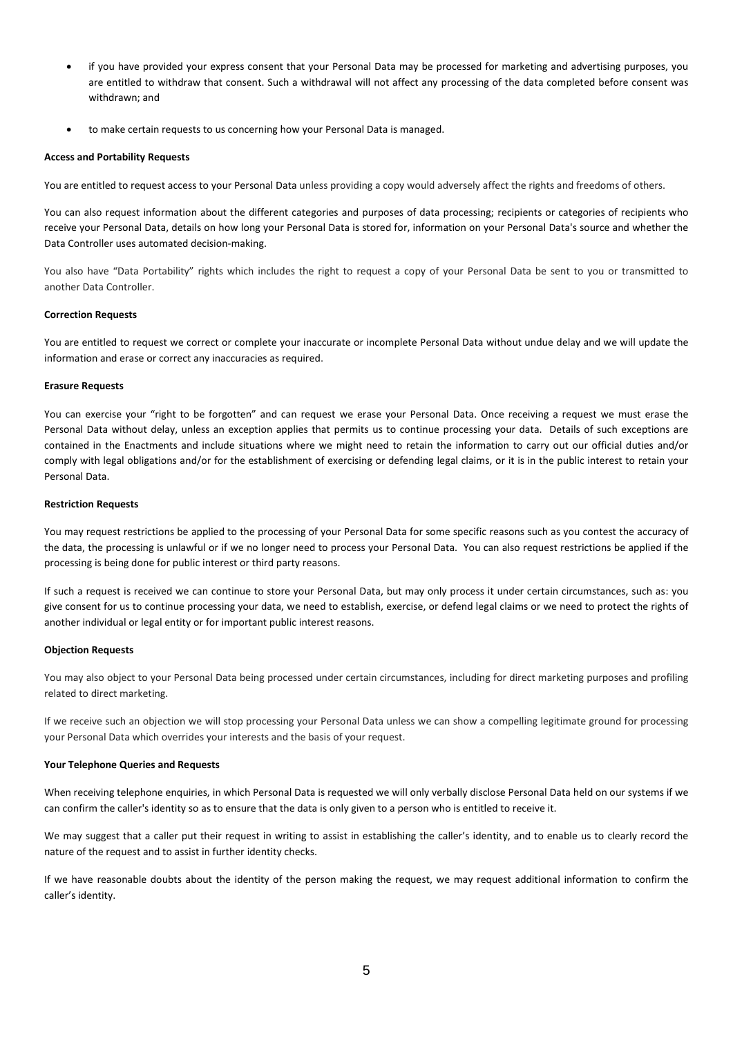- if you have provided your express consent that your Personal Data may be processed for marketing and advertising purposes, you are entitled to withdraw that consent. Such a withdrawal will not affect any processing of the data completed before consent was withdrawn; and
- to make certain requests to us concerning how your Personal Data is managed.

### **Access and Portability Requests**

You are entitled to request access to your Personal Data unless providing a copy would adversely affect the rights and freedoms of others.

You can also request information about the different categories and purposes of data processing; recipients or categories of recipients who receive your Personal Data, details on how long your Personal Data is stored for, information on your Personal Data's source and whether the Data Controller uses automated decision-making.

You also have "Data Portability" rights which includes the right to request a copy of your Personal Data be sent to you or transmitted to another Data Controller.

## **Correction Requests**

You are entitled to request we correct or complete your inaccurate or incomplete Personal Data without undue delay and we will update the information and erase or correct any inaccuracies as required.

#### **Erasure Requests**

You can exercise your "right to be forgotten" and can request we erase your Personal Data. Once receiving a request we must erase the Personal Data without delay, unless an exception applies that permits us to continue processing your data. Details of such exceptions are contained in the Enactments and include situations where we might need to retain the information to carry out our official duties and/or comply with legal obligations and/or for the establishment of exercising or defending legal claims, or it is in the public interest to retain your Personal Data.

### **Restriction Requests**

You may request restrictions be applied to the processing of your Personal Data for some specific reasons such as you contest the accuracy of the data, the processing is unlawful or if we no longer need to process your Personal Data. You can also request restrictions be applied if the processing is being done for public interest or third party reasons.

If such a request is received we can continue to store your Personal Data, but may only process it under certain circumstances, such as: you give consent for us to continue processing your data, we need to establish, exercise, or defend legal claims or we need to protect the rights of another individual or legal entity or for important public interest reasons.

#### **Objection Requests**

You may also object to your Personal Data being processed under certain circumstances, including for direct marketing purposes and profiling related to direct marketing.

If we receive such an objection we will stop processing your Personal Data unless we can show a compelling legitimate ground for processing your Personal Data which overrides your interests and the basis of your request.

#### **Your Telephone Queries and Requests**

When receiving telephone enquiries, in which Personal Data is requested we will only verbally disclose Personal Data held on our systems if we can confirm the caller's identity so as to ensure that the data is only given to a person who is entitled to receive it.

We may suggest that a caller put their request in writing to assist in establishing the caller's identity, and to enable us to clearly record the nature of the request and to assist in further identity checks.

If we have reasonable doubts about the identity of the person making the request, we may request additional information to confirm the caller's identity.